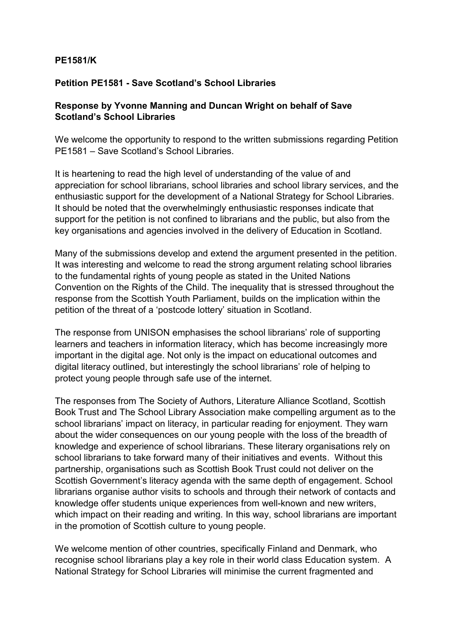## **PE1581/K**

## **Petition PE1581 - Save Scotland's School Libraries**

## **Response by Yvonne Manning and Duncan Wright on behalf of Save Scotland's School Libraries**

We welcome the opportunity to respond to the written submissions regarding Petition PE1581 – Save Scotland's School Libraries.

It is heartening to read the high level of understanding of the value of and appreciation for school librarians, school libraries and school library services, and the enthusiastic support for the development of a National Strategy for School Libraries. It should be noted that the overwhelmingly enthusiastic responses indicate that support for the petition is not confined to librarians and the public, but also from the key organisations and agencies involved in the delivery of Education in Scotland.

Many of the submissions develop and extend the argument presented in the petition. It was interesting and welcome to read the strong argument relating school libraries to the fundamental rights of young people as stated in the United Nations Convention on the Rights of the Child. The inequality that is stressed throughout the response from the Scottish Youth Parliament, builds on the implication within the petition of the threat of a 'postcode lottery' situation in Scotland.

The response from UNISON emphasises the school librarians' role of supporting learners and teachers in information literacy, which has become increasingly more important in the digital age. Not only is the impact on educational outcomes and digital literacy outlined, but interestingly the school librarians' role of helping to protect young people through safe use of the internet.

The responses from The Society of Authors, Literature Alliance Scotland, Scottish Book Trust and The School Library Association make compelling argument as to the school librarians' impact on literacy, in particular reading for enjoyment. They warn about the wider consequences on our young people with the loss of the breadth of knowledge and experience of school librarians. These literary organisations rely on school librarians to take forward many of their initiatives and events. Without this partnership, organisations such as Scottish Book Trust could not deliver on the Scottish Government's literacy agenda with the same depth of engagement. School librarians organise author visits to schools and through their network of contacts and knowledge offer students unique experiences from well-known and new writers, which impact on their reading and writing. In this way, school librarians are important in the promotion of Scottish culture to young people.

We welcome mention of other countries, specifically Finland and Denmark, who recognise school librarians play a key role in their world class Education system. A National Strategy for School Libraries will minimise the current fragmented and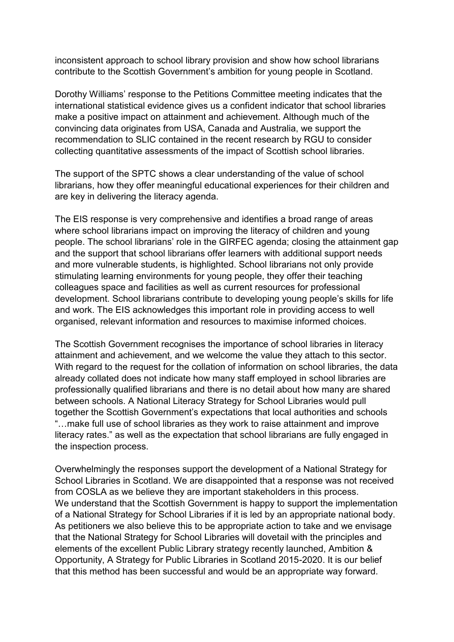inconsistent approach to school library provision and show how school librarians contribute to the Scottish Government's ambition for young people in Scotland.

Dorothy Williams' response to the Petitions Committee meeting indicates that the international statistical evidence gives us a confident indicator that school libraries make a positive impact on attainment and achievement. Although much of the convincing data originates from USA, Canada and Australia, we support the recommendation to SLIC contained in the recent research by RGU to consider collecting quantitative assessments of the impact of Scottish school libraries.

The support of the SPTC shows a clear understanding of the value of school librarians, how they offer meaningful educational experiences for their children and are key in delivering the literacy agenda.

The EIS response is very comprehensive and identifies a broad range of areas where school librarians impact on improving the literacy of children and young people. The school librarians' role in the GIRFEC agenda; closing the attainment gap and the support that school librarians offer learners with additional support needs and more vulnerable students, is highlighted. School librarians not only provide stimulating learning environments for young people, they offer their teaching colleagues space and facilities as well as current resources for professional development. School librarians contribute to developing young people's skills for life and work. The EIS acknowledges this important role in providing access to well organised, relevant information and resources to maximise informed choices.

The Scottish Government recognises the importance of school libraries in literacy attainment and achievement, and we welcome the value they attach to this sector. With regard to the request for the collation of information on school libraries, the data already collated does not indicate how many staff employed in school libraries are professionally qualified librarians and there is no detail about how many are shared between schools. A National Literacy Strategy for School Libraries would pull together the Scottish Government's expectations that local authorities and schools "…make full use of school libraries as they work to raise attainment and improve literacy rates." as well as the expectation that school librarians are fully engaged in the inspection process.

Overwhelmingly the responses support the development of a National Strategy for School Libraries in Scotland. We are disappointed that a response was not received from COSLA as we believe they are important stakeholders in this process. We understand that the Scottish Government is happy to support the implementation of a National Strategy for School Libraries if it is led by an appropriate national body. As petitioners we also believe this to be appropriate action to take and we envisage that the National Strategy for School Libraries will dovetail with the principles and elements of the excellent Public Library strategy recently launched, Ambition & Opportunity, A Strategy for Public Libraries in Scotland 2015-2020. It is our belief that this method has been successful and would be an appropriate way forward.